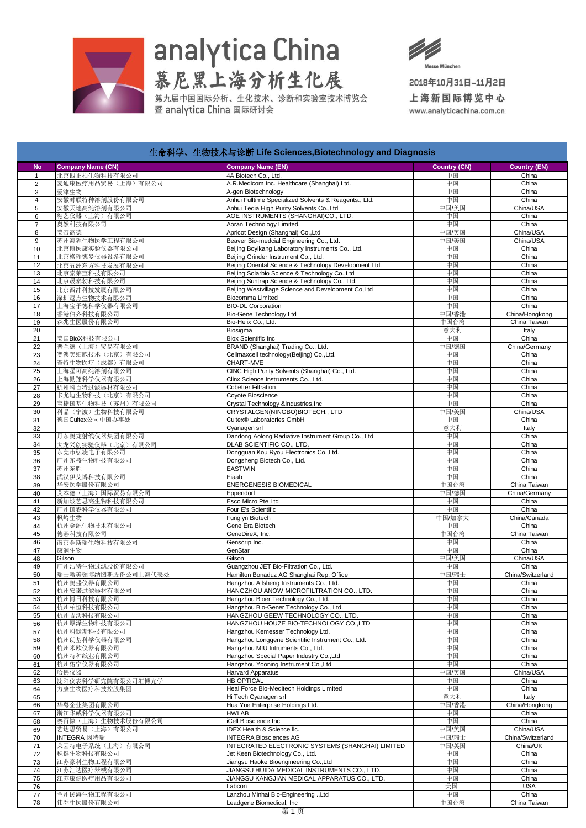

## analytica China<br>慕尼黑上海分析生化展

第九届中国国际分析、生化技术、诊断和实验室技术博览会<br>暨 analγtica China 国际研讨会



2018年10月31日-11月2日 上海新国际博览中心

www.analyticachina.com.cn

|                     |                                    | 生血性子、生物仅不与诊断 Life Sciences,Biotechnology and Diagnosis                                               |                     |                     |
|---------------------|------------------------------------|------------------------------------------------------------------------------------------------------|---------------------|---------------------|
| <b>No</b>           | <b>Company Name (CN)</b>           | <b>Company Name (EN)</b>                                                                             | <b>Country (CN)</b> | <b>Country (EN)</b> |
| $\mathbf{1}$        | 北京四正柏生物科技有限公司                      | 4A Biotech Co., Ltd.                                                                                 | 中国                  | China               |
| $\overline{2}$      | 麦迪康医疗用品贸易(上海)有限公司                  | A.R.Medicom Inc. Healthcare (Shanghai) Ltd.                                                          | 中国                  | China               |
| 3                   | 爱津生物                               | A-gen Biotechnology                                                                                  | 中国                  | China               |
| $\overline{4}$<br>5 | 安徽时联特种溶剂股份有限公司<br>安徽天地高纯溶剂有限公司     | Anhui Fulltime Specialized Solvents & Reagents., Ltd.<br>Anhui Tedia High Purity Solvents Co., Ltd   | 中国<br>中国/美国         | China<br>China/USA  |
| 6                   | 翱艺仪器(上海)有限公司                       | AOE INSTRUMENTS (SHANGHAI)CO., LTD.                                                                  | 中国                  | China               |
| $\overline{7}$      | 奥然科技有限公司                           | Aoran Technology Limited.                                                                            | 中国                  | China               |
| 8                   | 美杏高德                               | Apricot Design (Shanghai) Co., Ltd                                                                   | 中国/美国               | China/USA           |
| 9                   | 苏州海狸生物医学工程有限公司                     | Beaver Bio-medcial Engineering Co., Ltd.                                                             | 中国/美国               | China/USA           |
| 10                  | 北京博医康实验仪器有限公司                      | Beijing Boyikang Laboratory Instruments Co., Ltd.                                                    | 中国                  | China               |
| 11                  | 北京格瑞德曼仪器设备有限公司                     | Beijing Grinder Instrument Co., Ltd.                                                                 | 中国                  | China               |
| 12                  | 北京五洲东方科技发展有限公司                     | Beijing Oriental Science & Technology Development Ltd.                                               | 中国                  | China               |
| 13                  | 北京索莱宝科技有限公司                        | Beijing Solarbio Science & Technology Co., Ltd                                                       | 中国                  | China               |
| 14<br>15            | 北京晟泰勃科技有限公司<br>北京西冲科技发展有限公司        | Beijing Suntrap Science & Technology Co., Ltd.<br>Beijing Westvillage Science and Development Co,Ltd | 中国<br>中国            | China<br>China      |
| 16                  | 深圳逗点生物技术有限公司                       | <b>Biocomma Limited</b>                                                                              | 中国                  | China               |
| 17                  | 上海宝予德科学仪器有限公司                      | <b>BIO-DL Corporation</b>                                                                            | 中国                  | China               |
| 18                  | 香港伯齐科技有限公司                         | <b>Bio-Gene Technology Ltd</b>                                                                       | 中国/香港               | China/Hongkong      |
| 19                  | 森兆生医股份有限公司                         | Bio-Helix Co., Ltd.                                                                                  | 中国台湾                | China Taiwan        |
| 20                  |                                    | Biosigma                                                                                             | 意大利                 | Italy               |
| 21                  | 美国BioX科技有限公司                       | <b>Biox Scientific Inc</b>                                                                           | 中国                  | China               |
| 22                  | 普兰德(上海)贸易有限公司                      | BRAND (Shanghai) Trading Co., Ltd.                                                                   | 中国/德国               | China/Germany       |
| 23                  | 赛澳美细胞技术(北京)有限公司                    | Cellmaxcell technology(Beijing) Co.,Ltd.                                                             | 中国                  | China               |
| 24                  | 查特生物医疗 (成都) 有限公司<br>上海星可高纯溶剂有限公司   | CHART-MVE<br>CINC High Purity Solvents (Shanghai) Co., Ltd.                                          | 中国<br>中国            | China<br>China      |
| 25<br>26            | 上海勤翔科学仪器有限公司                       | Clinx Science Instruments Co., Ltd.                                                                  | 中国                  | China               |
| 27                  | 杭州科百特过滤器材有限公司                      | <b>Cobetter Filtration</b>                                                                           | 中国                  | China               |
| 28                  | 卡尤迪生物科技(北京)有限公司                    | Coyote Bioscience                                                                                    | 中国                  | China               |
| 29                  | 宝捷国基生物科技(苏州)有限公司                   | Crystal Technology &Industries, Inc                                                                  | 中国                  | China               |
| 30                  | 科晶(宁波)生物科技有限公司                     | CRYSTALGEN(NINGBO)BIOTECH., LTD                                                                      | 中国/美国               | China/USA           |
| 31                  | 德国Cultex公司中国办事处                    | Cultex® Laboratories GmbH                                                                            | 中国                  | China               |
| 32                  |                                    | Cyanagen srl                                                                                         | 意大利                 | Italy               |
| 33                  | 丹东奥龙射线仪器集团有限公司                     | Dandong Aolong Radiative Instrument Group Co., Ltd                                                   | 中国                  | China               |
| 34                  | 大龙兴创实验仪器(北京)有限公司                   | DLAB SCIENTIFIC CO., LTD.                                                                            | 中国                  | China               |
| 35                  | 东莞市弘凌电子有限公司                        | Dongguan Kou Ryou Electronics Co., Ltd.                                                              | 中国                  | China<br>China      |
| 36<br>37            | 广州东盛生物科技有限公司<br>苏州东胜               | Dongsheng Biotech Co., Ltd.<br>EASTWIN                                                               | 中国<br>中国            | China               |
| 38                  | 武汉伊艾博科技有限公司                        | Eiaab                                                                                                | 中国                  | China               |
| 39                  | 华安医学股份有限公司                         | ENERGENESIS BIOMEDICAL                                                                               | 中国台湾                | China Taiwan        |
| 40                  | 艾本德(上海) 国际贸易有限公司                   | Eppendorf                                                                                            | 中国/德国               | China/Germany       |
| 41                  | 新加坡艺思高生物科技有限公司                     | Esco Micro Pte Ltd                                                                                   | 中国                  | China               |
| 42                  | 广州国睿科学仪器有限公司                       | Four E's Scientific                                                                                  | 中国                  | China               |
| 43                  | 枫岭生物                               | Funglyn Biotech                                                                                      | 中国/加拿大              | China/Canada        |
| 44                  | 杭州金源生物技术有限公司                       | Gene Era Biotech                                                                                     | 中国                  | China               |
| 45                  | 德碁科技有限公司                           | GeneDireX, Inc.                                                                                      | 中国台湾                | China Taiwan        |
| 46<br>47            | 南京金斯瑞生物科技有限公司<br>康润生物              | Genscrip Inc.<br>GenStar                                                                             | 中国<br>中国            | China<br>China      |
| 48                  | Gilson                             | Gilson                                                                                               | 中国/美国               | China/USA           |
| 49                  | 广州洁特生物过滤股份有限公司                     | Guangzhou JET Bio-Filtration Co., Ltd.                                                               | 中国                  | China               |
| 50                  | 瑞士哈美顿博纳图斯股份公司上海代表处                 | Hamilton Bonaduz AG Shanghai Rep. Office                                                             | 中国/瑞士               | China/Switzerland   |
| 51                  | 杭州奥盛仪器有限公司                         | Hangzhou Allsheng Instruments Co., Ltd.                                                              | 中国                  | China               |
| 52                  | 杭州安诺过滤器材有限公司                       | HANGZHOU ANOW MICROFILTRATION CO., LTD.                                                              | 中国                  | China               |
| 53                  | 杭州博日科技有限公司                         | Hangzhou Bioer Technology Co., Ltd.                                                                  | 中国                  | China               |
| 54                  | 杭州柏恒科技有限公司                         | Hangzhou Bio-Gener Technology Co., Ltd.                                                              | 中国                  | China               |
| 55                  | 杭州吉沃科技有限公司                         | HANGZHOU GEEW TECHNOLOGY CO., LTD.                                                                   | 中国                  | China               |
| 56<br>57            | 杭州厚泽生物科技有限公司<br>杭州科默斯科技有限公司        | HANGZHOU HOUZE BIO-TECHNOLOGY CO.,LTD<br>Hangzhou Kemesser Technology Ltd.                           | 中国<br>中国            | China<br>China      |
| 58                  | 杭州朗基科学仪器有限公司                       | Hangzhou Longgene Scientific Instrument Co., Ltd.                                                    | 中国                  | China               |
| 59                  | 杭州米欧仪器有限公司                         | Hangzhou MIU Intruments Co., Ltd.                                                                    | 中国                  | China               |
| 60                  | 杭州特种纸业有限公司                         | Hangzhou Special Paper Industry Co., Ltd                                                             | 中国                  | China               |
| 61                  | 杭州佑宁仪器有限公司                         | Hangzhou Yooning Instrument Co., Ltd                                                                 | 中国                  | China               |
| 62                  | 哈佛仪器                               | Harvard Apparatus                                                                                    | 中国/美国               | China/USA           |
| 63                  | 沈阳仪表科学研究院有限公司汇博光学                  | <b>HB OPTICAL</b>                                                                                    | 中国                  | China               |
| 64                  | 力康生物医疗科技控股集团                       | Heal Force Bio-Meditech Holdings Limited                                                             | 中国                  | China               |
| 65                  |                                    | Hi Tech Cyanagen srl                                                                                 | 意大利                 | Italy               |
| 66                  | 华粤企业集团有限公司                         | Hua Yue Enterprise Holdings Ltd.                                                                     | 中国/香港               | China/Hongkong      |
| 67                  | 浙江华威科学仪器有限公司                       | HWLAB<br>iCell Bioscience Inc                                                                        | 中国<br>中国            | China<br>China      |
| 68<br>69            | 赛百慷(上海)生物技术股份有限公司<br>艺达思贸易(上海)有限公司 | <b>IDEX Health &amp; Science Ilc.</b>                                                                | 中国/美国               | China/USA           |
| 70                  | INTEGRA 因特瑞                        | <b>INTEGRA Biosciences AG</b>                                                                        | 中国/瑞士               | China/Switzerland   |
| 71                  | 莱因特电子系统 (上海) 有限公司                  | INTEGRATED ELECTRONIC SYSTEMS (SHANGHAI) LIMITED                                                     | 中国/英国               | China/UK            |
| 72                  | 积健生物科技有限公司                         | Jet Keen Biotechnology Co., Ltd.                                                                     | 中国                  | China               |
| 73                  | 江苏豪科生物工程有限公司                       | Jiangsu Haoke Bioengineering Co., Ltd                                                                | 中国                  | China               |
| 74                  | 江苏汇达医疗器械有限公司                       | JIANGSU HUIDA MEDICAL INSTRUMENTS CO., LTD.                                                          | 中国                  | China               |
| 75                  | 江苏康健医疗用品有限公司                       | JIANGSU KANGJIAN MEDICAL APPARATUS CO., LTD.                                                         | 中国                  | China               |
| 76                  |                                    | Labcon                                                                                               | 美国                  | <b>USA</b>          |
| 77                  | 兰州民海生物工程有限公司                       | Lanzhou Minhai Bio-Engineering .,Ltd                                                                 | 中国                  | China               |
| 78                  | 伟乔生医股份有限公司                         | Leadgene Biomedical, Inc                                                                             | 中国台湾                | China Taiwan        |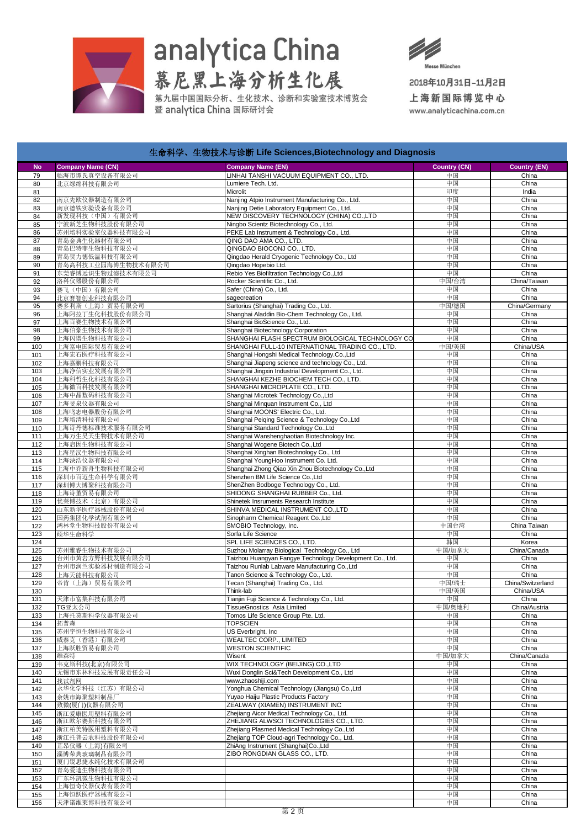

## analytica China<br>慕尼黑上海分析生化展

第九届中国国际分析、生化技术、诊断和实验室技术博览会<br>暨 analγtica China 国际研讨会



2018年10月31日-11月2日 上海新国际博览中心

www.analyticachina.com.cn

| 生命科学、生物技术与诊断 Life Sciences,Biotechnology and Diagnosis |                                   |                                                                                              |                     |                            |  |  |  |  |
|--------------------------------------------------------|-----------------------------------|----------------------------------------------------------------------------------------------|---------------------|----------------------------|--|--|--|--|
| <b>No</b>                                              | <b>Company Name (CN)</b>          | <b>Company Name (EN)</b>                                                                     | <b>Country (CN)</b> | <b>Country (EN)</b>        |  |  |  |  |
| 79                                                     | 临海市谭氏真空设备有限公司                     | LINHAI TANSHI VACUUM EQUIPMENT CO., LTD.                                                     | 中国                  | China                      |  |  |  |  |
| 80                                                     | 北京绿绵科技有限公司                        | Lumiere Tech. Ltd.                                                                           | 中国                  | China                      |  |  |  |  |
| 81                                                     |                                   | Microlit                                                                                     | 印度                  | India                      |  |  |  |  |
| 82                                                     | 南京先欧仪器制造有限公司                      | Nanjing Atpio Instrument Manufacturing Co., Ltd.                                             | 中国                  | China                      |  |  |  |  |
| 83                                                     | 南京德铁实验设备有限公司                      | Nanjing Detie Laboratory Equipment Co., Ltd.                                                 | 中国                  | China                      |  |  |  |  |
| 84                                                     | 新发现科技(中国)有限公司                     | NEW DISCOVERY TECHNOLOGY (CHINA) CO.,LTD                                                     | 中国                  | China                      |  |  |  |  |
| 85<br>86                                               | 宁波新芝生物科技股份有限公司<br>苏州培科实验室仪器科技有限公司 | Ningbo Scientz Biotechnology Co., Ltd.<br>PEKE Lab Instrument & Technology Co., Ltd.         | 中国<br>中国            | China<br>China             |  |  |  |  |
| 87                                                     | 青岛金典生化器材有限公司                      | QING DAO AMA CO., LTD.                                                                       | 中国                  | China                      |  |  |  |  |
| 88                                                     | 青岛巴特菲生物科技有限公司                     | QINGDAO BIOCONJ CO., LTD.                                                                    | 中国                  | China                      |  |  |  |  |
| 89                                                     | 青岛贺力德低温科技有限公司                     | Qingdao Herald Cryogenic Technology Co., Ltd                                                 | 中国                  | China                      |  |  |  |  |
| 90                                                     | 青岛高科技工业园海博生物技术有限公司                | Qingdao Hopebio Ltd.                                                                         | 中国                  | China                      |  |  |  |  |
| 91                                                     | 东莞睿博远识生物过滤技术有限公司                  | Rebio Yes Biofiltration Technology Co., Ltd                                                  | 中国                  | China                      |  |  |  |  |
| 92                                                     | 洛科仪器股份有限公司                        | Rocker Scientific Co., Ltd.                                                                  | 中国/台湾               | China/Taiwan               |  |  |  |  |
| 93                                                     | 赛飞(中国)有限公司                        | Safer (China) Co., Ltd.                                                                      | 中国                  | China                      |  |  |  |  |
| 94<br>95                                               | 北京赛智创业科技有限公司<br>赛多利斯(上海)贸易有限公司    | sagecreation<br>Sartorius (Shanghai) Trading Co., Ltd.                                       | 中国<br>中国/德国         | China<br>China/Germany     |  |  |  |  |
| 96                                                     | 上海阿拉丁生化科技股份有限公司                   | Shanghai Aladdin Bio-Chem Technology Co., Ltd.                                               | 中国                  | China                      |  |  |  |  |
| 97                                                     | 上海百赛生物技术有限公司                      | Shanghai BioScience Co., Ltd.                                                                | 中国                  | China                      |  |  |  |  |
| 98                                                     | 上海伯豪生物技术有限公司                      | Shanghai Biotechnology Corporation                                                           | 中国                  | China                      |  |  |  |  |
| 99                                                     | 上海闪谱生物科技有限公司                      | SHANGHAI FLASH SPECTRUM BIOLOGICAL TECHNOLOGY CO                                             | 中国                  | China                      |  |  |  |  |
| 100                                                    | 上海富电国际贸易有限公司                      | SHANGHAI FULL-10 INTERNATIONAL TRADING CO., LTD.                                             | 中国/美国               | China/USA                  |  |  |  |  |
| 101                                                    | 上海宏石医疗科技有限公司                      | Shanghai Hongshi Medical Technology.Co.,Ltd                                                  | 中国                  | China                      |  |  |  |  |
| 102                                                    | 上海嘉鹏科技有限公司                        | Shanghai Jiapeng science and technology Co., Ltd.                                            | 中国                  | China<br>China             |  |  |  |  |
| 103<br>104                                             | 上海净信实业发展有限公司<br>上海科哲生化科技有限公司      | Shanghai Jingxin Industrial Development Co., Ltd.<br>SHANGHAI KEZHE BIOCHEM TECH CO., LTD.   | 中国<br>中国            | China                      |  |  |  |  |
| 105                                                    | 上海微百科技发展有限公司                      | SHANGHAI MICROPLATE CO., LTD.                                                                | 中国                  | China                      |  |  |  |  |
| 106                                                    | 上海中晶数码科技有限公司                      | Shanghai Microtek Technology Co., Ltd                                                        | 中国                  | China                      |  |  |  |  |
| 107                                                    | 上海旻泉仪器有限公司                        | Shanghai Minquan Instrument Co., Ltd                                                         | 中国                  | China                      |  |  |  |  |
| 108                                                    | 上海鸣志电器股份有限公司                      | Shanghai MOONS' Electric Co., Ltd.                                                           | 中国                  | China                      |  |  |  |  |
| 109                                                    | 上海培清科技有限公司                        | Shanghai Peiging Science & Technology Co., Ltd                                               | 中国                  | China                      |  |  |  |  |
| 110                                                    | 上海诗丹德标准技术服务有限公司                   | Shanghai Standard Technology Co., Ltd                                                        | 中国                  | China                      |  |  |  |  |
| 111                                                    | 上海万生昊天生物技术有限公司                    | Shanghai Wanshenghaotian Biotechnology Inc.                                                  | 中国                  | China                      |  |  |  |  |
| 112<br>113                                             | 上海启因生物科技有限公司<br>上海星汉生物科技有限公司      | Shanghai Wcgene Biotech Co., Ltd<br>Shanghai Xinghan Biotechnology Co., Ltd                  | 中国<br>中国            | China<br>China             |  |  |  |  |
| 114                                                    | 上海泱浩仪器有限公司                        | Shanghai YoungHoo Instrument Co. Ltd.                                                        | 中国                  | China                      |  |  |  |  |
| 115                                                    | 上海中乔新舟生物科技有限公司                    | Shanghai Zhong Qiao Xin Zhou Biotechnology Co., Ltd                                          | 中国                  | China                      |  |  |  |  |
| 116                                                    | 深圳市百迈生命科学有限公司                     | Shenzhen BM Life Science Co., Ltd                                                            | 中国                  | China                      |  |  |  |  |
| 117                                                    | 深圳博大博聚科技有限公司                      | ShenZhen Bodboge Technology Co., Ltd.                                                        | 中国                  | China                      |  |  |  |  |
| 118                                                    | 上海诗董贸易有限公司                        | SHIDONG SHANGHAI RUBBER Co., Ltd.                                                            | 中国                  | China                      |  |  |  |  |
| 119                                                    | 优莱博技术(北京)有限公司                     | Shinetek Insruments Research Institute                                                       | 中国                  | China                      |  |  |  |  |
| 120                                                    | 山东新华医疗器械股份有限公司                    | SHINVA MEDICAL INSTRUMENT CO.,LTD                                                            | 中国                  | China                      |  |  |  |  |
| 121<br>122                                             | 国药集团化学试剂有限公司<br>鸿林堂生物科技股份有限公司     | Sinopharm Chemical Reagent Co., Ltd<br>SMOBIO Technology, Inc.                               | 中国<br>中国台湾          | China<br>China Taiwan      |  |  |  |  |
| 123                                                    | 硕华生命科学                            | Sorfa Life Science                                                                           | 中国                  | China                      |  |  |  |  |
| 124                                                    |                                   | SPL LIFE SCIENCES CO., LTD.                                                                  | 韩国                  | Korea                      |  |  |  |  |
| 125                                                    | 苏州雅睿生物技术有限公司                      | Suzhou Molarray Biological Technology Co., Ltd                                               | 中国/加拿大              | China/Canada               |  |  |  |  |
| 126                                                    | 台州市黄岩方野科技发展有限公司                   | Taizhou Huangyan Fangye Technology Development Co., Ltd.                                     | 中国                  | China                      |  |  |  |  |
| 127                                                    | 台州市润兰实验器材制造有限公司                   | Taizhou Runlab Labware Manufacturing Co., Ltd                                                | 中国                  | China                      |  |  |  |  |
| 128                                                    | 上海天能科技有限公司                        | Tanon Science & Technology Co., Ltd.                                                         | 中国                  | China                      |  |  |  |  |
| 129                                                    | 帝肯(上海)贸易有限公司                      | Tecan (Shanghai) Trading Co., Ltd.                                                           | 中国/瑞士               | China/Switzerland          |  |  |  |  |
| 130<br>131                                             | 天津市富集科技有限公司                       | Think-lab<br>Tianjin Fuji Science & Technology Co., Ltd.                                     | 中国/美国<br>中国         | China/USA<br>China         |  |  |  |  |
| 132                                                    | TG亚太公司                            | TissueGnostics Asia Limited                                                                  | 中国/奥地利              | China/Austria              |  |  |  |  |
| 133                                                    | 上海托莫斯科学仪器有限公司                     | Tomos Life Science Group Pte. Ltd.                                                           | 中国                  | China                      |  |  |  |  |
| 134                                                    | 拓普森                               | <b>TOPSCIEN</b>                                                                              | 中国                  | China                      |  |  |  |  |
| 135                                                    | 苏州宇恒生物科技有限公司                      | US Everbright. Inc                                                                           | 中国                  | China                      |  |  |  |  |
| 136                                                    | 威泰克(香港)有限公司                       | WEALTEC CORP., LIMITED                                                                       | 中国                  | China                      |  |  |  |  |
| 137                                                    | 上海跃胜贸易有限公司                        | <b>WESTON SCIENTIFIC</b>                                                                     | 中国                  | China                      |  |  |  |  |
| 138<br>139                                             | 维森特<br>韦克斯科技(北京)有限公司              | Wisent<br>WIX TECHNOLOGY (BEIJING) CO.,LTD                                                   | 中国/加拿大<br>中国        | China/Canada<br>China      |  |  |  |  |
| 140                                                    | 无锡市东林科技发展有限责任公司                   | Wuxi Donglin Sci&Tech Development Co., Ltd                                                   | 中国                  | China                      |  |  |  |  |
| 141                                                    | 找试剂网                              | www.zhaoshiji.com                                                                            | 中国                  | China                      |  |  |  |  |
| 142                                                    | 永华化学科技(江苏)有限公司                    | Yonghua Chemical Technology (Jiangsu) Co., Ltd                                               | 中国                  | China                      |  |  |  |  |
| 143                                                    | 余姚市海聚塑料制品厂                        | Yuyao Haiju Plastic Products Factory                                                         | 中国                  | China                      |  |  |  |  |
| 144                                                    | 致微(厦门)仪器有限公司                      | ZEALWAY (XIAMEN) INSTRUMENT INC                                                              | 中国                  | China                      |  |  |  |  |
| 145                                                    | 浙江爱康医用塑料有限公司                      | Zhejiang Aicor Medical Technology Co., Ltd.                                                  | 中国                  | China                      |  |  |  |  |
| 146                                                    | 浙江欧尔赛斯科技有限公司                      | ZHEJIANG ALWSCI TECHNOLOGIES CO., LTD.                                                       | 中国                  | China                      |  |  |  |  |
| 147<br>148                                             | 浙江柏美特医用塑料有限公司                     | Zhejiang Plasmed Medical Technology Co., Ltd<br>Zhejiang TOP Cloud-agri Technology Co., Ltd. | 中国<br>中国            | China<br>China             |  |  |  |  |
| 149                                                    | 浙江托普云农科技股份有限公司<br>芷昂仪器 (上海)有限公司   | ZhiAng Instrument (Shanghai)Co.,Ltd                                                          | 中国                  | China                      |  |  |  |  |
| 150                                                    | 淄博荣典玻璃制品有限公司                      | ZIBO RONGDIAN GLASS CO., LTD.                                                                | 中国                  | China                      |  |  |  |  |
| 151                                                    | 厦门锐思捷水纯化技术有限公司                    |                                                                                              | 中国                  | China                      |  |  |  |  |
| 152                                                    | 青岛爱迪生物科技有限公司                      |                                                                                              | 中国                  | China                      |  |  |  |  |
| 153                                                    | 广东环凯微生物科技有限公司                     |                                                                                              | 中国                  | China                      |  |  |  |  |
| 154                                                    | 上海恒奇仪器仪表有限公司                      |                                                                                              | 中国                  | China                      |  |  |  |  |
| 155<br>4E <sub>C</sub>                                 | 上海恒跃医疗器械有限公司<br>手进港维拔捕到世方阻众司      |                                                                                              | 中国<br>त्ती चि       | China<br>$C_{\text{hino}}$ |  |  |  |  |